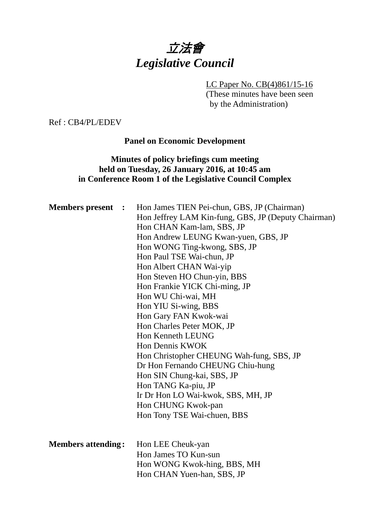# 立法會 *Legislative Council*

#### LC Paper No. CB(4)861/15-16

(These minutes have been seen by the Administration)

Ref : CB4/PL/EDEV

**Panel on Economic Development** 

# **Minutes of policy briefings cum meeting held on Tuesday, 26 January 2016, at 10:45 am in Conference Room 1 of the Legislative Council Complex**

| <b>Members present :</b>  | Hon James TIEN Pei-chun, GBS, JP (Chairman)<br>Hon Jeffrey LAM Kin-fung, GBS, JP (Deputy Chairman)<br>Hon CHAN Kam-lam, SBS, JP<br>Hon Andrew LEUNG Kwan-yuen, GBS, JP<br>Hon WONG Ting-kwong, SBS, JP<br>Hon Paul TSE Wai-chun, JP<br>Hon Albert CHAN Wai-yip<br>Hon Steven HO Chun-yin, BBS<br>Hon Frankie YICK Chi-ming, JP<br>Hon WU Chi-wai, MH<br>Hon YIU Si-wing, BBS<br>Hon Gary FAN Kwok-wai<br>Hon Charles Peter MOK, JP<br><b>Hon Kenneth LEUNG</b><br>Hon Dennis KWOK<br>Hon Christopher CHEUNG Wah-fung, SBS, JP<br>Dr Hon Fernando CHEUNG Chiu-hung<br>Hon SIN Chung-kai, SBS, JP<br>Hon TANG Ka-piu, JP<br>Ir Dr Hon LO Wai-kwok, SBS, MH, JP<br>Hon CHUNG Kwok-pan<br>Hon Tony TSE Wai-chuen, BBS |
|---------------------------|-------------------------------------------------------------------------------------------------------------------------------------------------------------------------------------------------------------------------------------------------------------------------------------------------------------------------------------------------------------------------------------------------------------------------------------------------------------------------------------------------------------------------------------------------------------------------------------------------------------------------------------------------------------------------------------------------------------------|
| <b>Members attending:</b> | Hon LEE Cheuk-yan<br>Hon James TO Kun-sun<br>Hon WONG Kwok-hing, BBS, MH<br>Hon CHAN Yuen-han, SBS, JP                                                                                                                                                                                                                                                                                                                                                                                                                                                                                                                                                                                                            |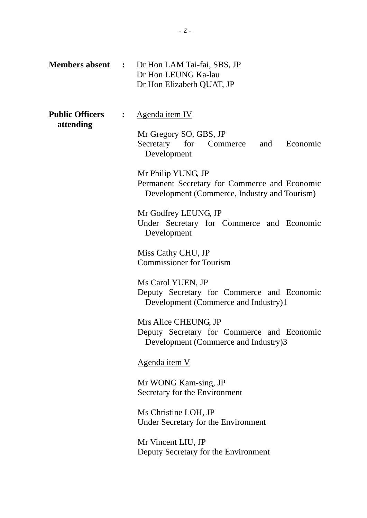|                                     | <b>Members absent :</b> Dr Hon LAM Tai-fai, SBS, JP<br>Dr Hon LEUNG Ka-lau<br>Dr Hon Elizabeth QUAT, JP                                                                                                                                                                                    |
|-------------------------------------|--------------------------------------------------------------------------------------------------------------------------------------------------------------------------------------------------------------------------------------------------------------------------------------------|
| <b>Public Officers</b><br>attending | Agenda item IV<br>Mr Gregory SO, GBS, JP<br>Secretary for Commerce and Economic<br>Development<br>Mr Philip YUNG, JP<br>Permanent Secretary for Commerce and Economic<br>Development (Commerce, Industry and Tourism)<br>Mr Godfrey LEUNG, JP<br>Under Secretary for Commerce and Economic |
|                                     | Development<br>Miss Cathy CHU, JP<br><b>Commissioner for Tourism</b><br>Ms Carol YUEN, JP<br>Deputy Secretary for Commerce and Economic<br>Development (Commerce and Industry)1                                                                                                            |
|                                     | Mrs Alice CHEUNG, JP<br>Deputy Secretary for Commerce and Economic<br>Development (Commerce and Industry)3<br>Agenda item V                                                                                                                                                                |
|                                     | Mr WONG Kam-sing, JP<br>Secretary for the Environment<br>Ms Christine LOH, JP<br>Under Secretary for the Environment<br>Mr Vincent LIU, JP<br>Deputy Secretary for the Environment                                                                                                         |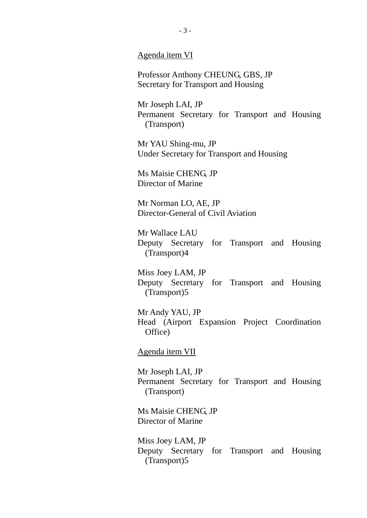Agenda item VI

Professor Anthony CHEUNG, GBS, JP Secretary for Transport and Housing

Mr Joseph LAI, JP Permanent Secretary for Transport and Housing (Transport)

Mr YAU Shing-mu, JP Under Secretary for Transport and Housing

Ms Maisie CHENG, JP Director of Marine

Mr Norman LO, AE, JP Director-General of Civil Aviation

Mr Wallace LAU Deputy Secretary for Transport and Housing (Transport)4

Miss Joey LAM, JP Deputy Secretary for Transport and Housing (Transport)5

Mr Andy YAU, JP Head (Airport Expansion Project Coordination Office)

Agenda item VII

Mr Joseph LAI, JP Permanent Secretary for Transport and Housing (Transport)

Ms Maisie CHENG, JP Director of Marine

Miss Joey LAM, JP Deputy Secretary for Transport and Housing (Transport)5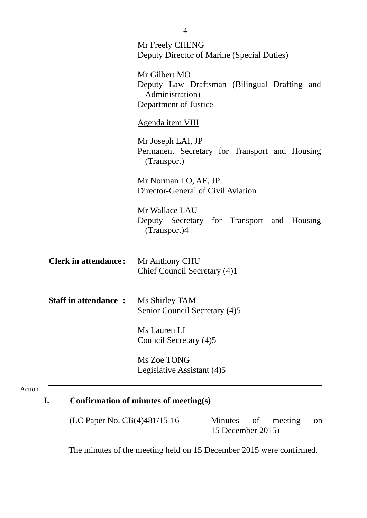|                                             | Mr Freely CHENG<br>Deputy Director of Marine (Special Duties)                                             |
|---------------------------------------------|-----------------------------------------------------------------------------------------------------------|
|                                             | Mr Gilbert MO<br>Deputy Law Draftsman (Bilingual Drafting and<br>Administration)<br>Department of Justice |
|                                             | Agenda item VIII                                                                                          |
|                                             | Mr Joseph LAI, JP<br>Permanent Secretary for Transport and Housing<br>(Transport)                         |
|                                             | Mr Norman LO, AE, JP<br>Director-General of Civil Aviation                                                |
|                                             | Mr Wallace LAU<br>Deputy Secretary for Transport and Housing<br>(Transport)4                              |
| <b>Clerk in attendance:</b>                 | Mr Anthony CHU<br>Chief Council Secretary (4)1                                                            |
| <b>Staff in attendance : Ms Shirley TAM</b> | Senior Council Secretary (4)5                                                                             |
|                                             | Ms Lauren LI<br>Council Secretary (4)5                                                                    |
|                                             | Ms Zoe TONG<br>Legislative Assistant (4)5                                                                 |

(LC Paper No. CB(4)481/15-16 — Minutes of meeting on 15 December 2015)

Action

The minutes of the meeting held on 15 December 2015 were confirmed.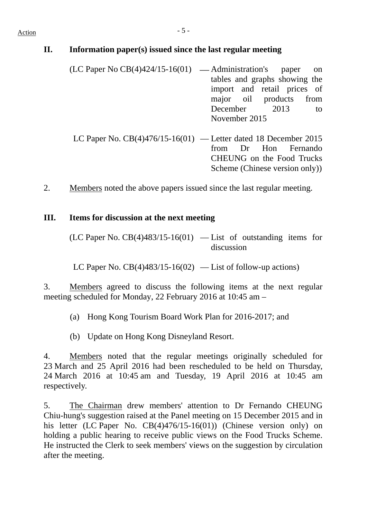#### **II. Information paper(s) issued since the last regular meeting**

- $(LC$  Paper No  $CB(4)424/15-16(01)$  Administration's paper on tables and graphs showing the import and retail prices of major oil products from December 2013 to November 2015
- LC Paper No.  $CB(4)476/15-16(01)$  Letter dated 18 December 2015 from Dr Hon Fernando CHEUNG on the Food Trucks Scheme (Chinese version only))
- 2. Members noted the above papers issued since the last regular meeting.

#### **III. Items for discussion at the next meeting**

 $(LC$  Paper No.  $CB(4)483/15-16(01)$  — List of outstanding items for discussion

LC Paper No.  $CB(4)483/15-16(02)$  — List of follow-up actions)

3. Members agreed to discuss the following items at the next regular meeting scheduled for Monday, 22 February 2016 at 10:45 am –

- (a) Hong Kong Tourism Board Work Plan for 2016-2017; and
- (b) Update on Hong Kong Disneyland Resort.

4. Members noted that the regular meetings originally scheduled for 23 March and 25 April 2016 had been rescheduled to be held on Thursday, 24 March 2016 at 10:45 am and Tuesday, 19 April 2016 at 10:45 am respectively.

5. The Chairman drew members' attention to Dr Fernando CHEUNG Chiu-hung's suggestion raised at the Panel meeting on 15 December 2015 and in his letter (LC Paper No. CB(4)476/15-16(01)) (Chinese version only) on holding a public hearing to receive public views on the Food Trucks Scheme. He instructed the Clerk to seek members' views on the suggestion by circulation after the meeting.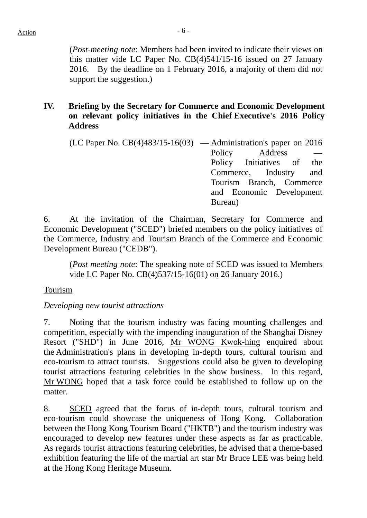(*Post-meeting note*: Members had been invited to indicate their views on this matter vide LC Paper No. CB(4)541/15-16 issued on 27 January 2016. By the deadline on 1 February 2016, a majority of them did not support the suggestion.)

# **IV. Briefing by the Secretary for Commerce and Economic Development on relevant policy initiatives in the Chief Executive's 2016 Policy Address**

(LC Paper No.  $CB(4)483/15-16(03)$  — Administration's paper on 2016 Policy **Address** Policy Initiatives of the Commerce, Industry and Tourism Branch, Commerce and Economic Development Bureau)

6. At the invitation of the Chairman, Secretary for Commerce and Economic Development ("SCED") briefed members on the policy initiatives of the Commerce, Industry and Tourism Branch of the Commerce and Economic Development Bureau ("CEDB").

(*Post meeting note*: The speaking note of SCED was issued to Members vide LC Paper No. CB(4)537/15-16(01) on 26 January 2016.)

# Tourism

# *Developing new tourist attractions*

7. Noting that the tourism industry was facing mounting challenges and competition, especially with the impending inauguration of the Shanghai Disney Resort ("SHD") in June 2016, Mr WONG Kwok-hing enquired about the Administration's plans in developing in-depth tours, cultural tourism and eco-tourism to attract tourists. Suggestions could also be given to developing tourist attractions featuring celebrities in the show business. In this regard, Mr WONG hoped that a task force could be established to follow up on the matter.

8. SCED agreed that the focus of in-depth tours, cultural tourism and eco-tourism could showcase the uniqueness of Hong Kong. Collaboration between the Hong Kong Tourism Board ("HKTB") and the tourism industry was encouraged to develop new features under these aspects as far as practicable. As regards tourist attractions featuring celebrities, he advised that a theme-based exhibition featuring the life of the martial art star Mr Bruce LEE was being held at the Hong Kong Heritage Museum.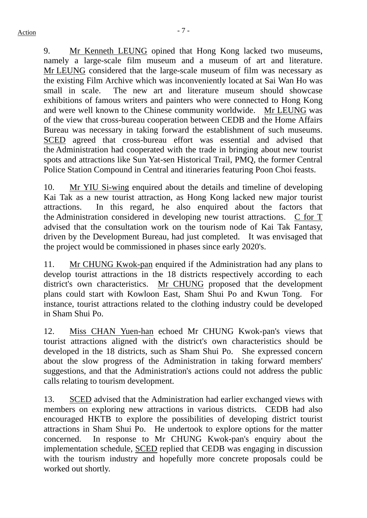9. Mr Kenneth LEUNG opined that Hong Kong lacked two museums, namely a large-scale film museum and a museum of art and literature. Mr LEUNG considered that the large-scale museum of film was necessary as the existing Film Archive which was inconveniently located at Sai Wan Ho was small in scale. The new art and literature museum should showcase exhibitions of famous writers and painters who were connected to Hong Kong and were well known to the Chinese community worldwide. Mr LEUNG was of the view that cross-bureau cooperation between CEDB and the Home Affairs Bureau was necessary in taking forward the establishment of such museums. SCED agreed that cross-bureau effort was essential and advised that the Administration had cooperated with the trade in bringing about new tourist spots and attractions like Sun Yat-sen Historical Trail, PMQ, the former Central Police Station Compound in Central and itineraries featuring Poon Choi feasts.

10. Mr YIU Si-wing enquired about the details and timeline of developing Kai Tak as a new tourist attraction, as Hong Kong lacked new major tourist attractions. In this regard, he also enquired about the factors that the Administration considered in developing new tourist attractions. C for T advised that the consultation work on the tourism node of Kai Tak Fantasy, driven by the Development Bureau, had just completed. It was envisaged that the project would be commissioned in phases since early 2020's.

11. Mr CHUNG Kwok-pan enquired if the Administration had any plans to develop tourist attractions in the 18 districts respectively according to each district's own characteristics. Mr CHUNG proposed that the development plans could start with Kowloon East, Sham Shui Po and Kwun Tong. For instance, tourist attractions related to the clothing industry could be developed in Sham Shui Po.

12. Miss CHAN Yuen-han echoed Mr CHUNG Kwok-pan's views that tourist attractions aligned with the district's own characteristics should be developed in the 18 districts, such as Sham Shui Po. She expressed concern about the slow progress of the Administration in taking forward members' suggestions, and that the Administration's actions could not address the public calls relating to tourism development.

13. SCED advised that the Administration had earlier exchanged views with members on exploring new attractions in various districts. CEDB had also encouraged HKTB to explore the possibilities of developing district tourist attractions in Sham Shui Po. He undertook to explore options for the matter concerned. In response to Mr CHUNG Kwok-pan's enquiry about the implementation schedule, SCED replied that CEDB was engaging in discussion with the tourism industry and hopefully more concrete proposals could be worked out shortly.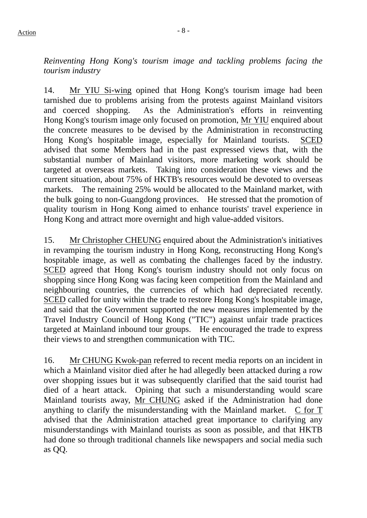*Reinventing Hong Kong's tourism image and tackling problems facing the tourism industry* 

14. Mr YIU Si-wing opined that Hong Kong's tourism image had been tarnished due to problems arising from the protests against Mainland visitors and coerced shopping. As the Administration's efforts in reinventing Hong Kong's tourism image only focused on promotion, Mr YIU enquired about the concrete measures to be devised by the Administration in reconstructing Hong Kong's hospitable image, especially for Mainland tourists. SCED advised that some Members had in the past expressed views that, with the substantial number of Mainland visitors, more marketing work should be targeted at overseas markets. Taking into consideration these views and the current situation, about 75% of HKTB's resources would be devoted to overseas markets. The remaining 25% would be allocated to the Mainland market, with the bulk going to non-Guangdong provinces. He stressed that the promotion of quality tourism in Hong Kong aimed to enhance tourists' travel experience in Hong Kong and attract more overnight and high value-added visitors.

15. Mr Christopher CHEUNG enquired about the Administration's initiatives in revamping the tourism industry in Hong Kong, reconstructing Hong Kong's hospitable image, as well as combating the challenges faced by the industry. SCED agreed that Hong Kong's tourism industry should not only focus on shopping since Hong Kong was facing keen competition from the Mainland and neighbouring countries, the currencies of which had depreciated recently. SCED called for unity within the trade to restore Hong Kong's hospitable image, and said that the Government supported the new measures implemented by the Travel Industry Council of Hong Kong ("TIC") against unfair trade practices targeted at Mainland inbound tour groups. He encouraged the trade to express their views to and strengthen communication with TIC.

16. Mr CHUNG Kwok-pan referred to recent media reports on an incident in which a Mainland visitor died after he had allegedly been attacked during a row over shopping issues but it was subsequently clarified that the said tourist had died of a heart attack. Opining that such a misunderstanding would scare Mainland tourists away, Mr CHUNG asked if the Administration had done anything to clarify the misunderstanding with the Mainland market. C for T advised that the Administration attached great importance to clarifying any misunderstandings with Mainland tourists as soon as possible, and that HKTB had done so through traditional channels like newspapers and social media such as QQ.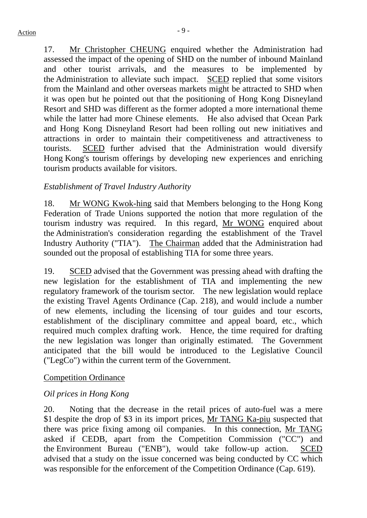17. Mr Christopher CHEUNG enquired whether the Administration had assessed the impact of the opening of SHD on the number of inbound Mainland and other tourist arrivals, and the measures to be implemented by the Administration to alleviate such impact. SCED replied that some visitors from the Mainland and other overseas markets might be attracted to SHD when it was open but he pointed out that the positioning of Hong Kong Disneyland Resort and SHD was different as the former adopted a more international theme while the latter had more Chinese elements. He also advised that Ocean Park and Hong Kong Disneyland Resort had been rolling out new initiatives and attractions in order to maintain their competitiveness and attractiveness to tourists. SCED further advised that the Administration would diversify Hong Kong's tourism offerings by developing new experiences and enriching tourism products available for visitors.

# *Establishment of Travel Industry Authority*

18. Mr WONG Kwok-hing said that Members belonging to the Hong Kong Federation of Trade Unions supported the notion that more regulation of the tourism industry was required. In this regard, Mr WONG enquired about the Administration's consideration regarding the establishment of the Travel Industry Authority ("TIA"). The Chairman added that the Administration had sounded out the proposal of establishing TIA for some three years.

19. SCED advised that the Government was pressing ahead with drafting the new legislation for the establishment of TIA and implementing the new regulatory framework of the tourism sector. The new legislation would replace the existing Travel Agents Ordinance (Cap. 218), and would include a number of new elements, including the licensing of tour guides and tour escorts, establishment of the disciplinary committee and appeal board, etc., which required much complex drafting work. Hence, the time required for drafting the new legislation was longer than originally estimated. The Government anticipated that the bill would be introduced to the Legislative Council ("LegCo") within the current term of the Government.

# Competition Ordinance

# *Oil prices in Hong Kong*

20. Noting that the decrease in the retail prices of auto-fuel was a mere \$1 despite the drop of \$3 in its import prices, Mr TANG Ka-piu suspected that there was price fixing among oil companies. In this connection, Mr TANG asked if CEDB, apart from the Competition Commission ("CC") and the Environment Bureau ("ENB"), would take follow-up action. SCED advised that a study on the issue concerned was being conducted by CC which was responsible for the enforcement of the Competition Ordinance (Cap. 619).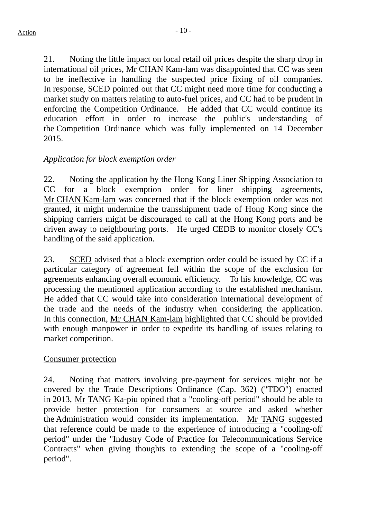21. Noting the little impact on local retail oil prices despite the sharp drop in international oil prices, Mr CHAN Kam-lam was disappointed that CC was seen to be ineffective in handling the suspected price fixing of oil companies. In response, SCED pointed out that CC might need more time for conducting a market study on matters relating to auto-fuel prices, and CC had to be prudent in enforcing the Competition Ordinance. He added that CC would continue its education effort in order to increase the public's understanding of the Competition Ordinance which was fully implemented on 14 December 2015.

# *Application for block exemption order*

22. Noting the application by the Hong Kong Liner Shipping Association to CC for a block exemption order for liner shipping agreements, Mr CHAN Kam-lam was concerned that if the block exemption order was not granted, it might undermine the transshipment trade of Hong Kong since the shipping carriers might be discouraged to call at the Hong Kong ports and be driven away to neighbouring ports. He urged CEDB to monitor closely CC's handling of the said application.

23. SCED advised that a block exemption order could be issued by CC if a particular category of agreement fell within the scope of the exclusion for agreements enhancing overall economic efficiency. To his knowledge, CC was processing the mentioned application according to the established mechanism. He added that CC would take into consideration international development of the trade and the needs of the industry when considering the application. In this connection, Mr CHAN Kam-lam highlighted that CC should be provided with enough manpower in order to expedite its handling of issues relating to market competition.

# Consumer protection

24. Noting that matters involving pre-payment for services might not be covered by the Trade Descriptions Ordinance (Cap. 362) ("TDO") enacted in 2013, Mr TANG Ka-piu opined that a "cooling-off period" should be able to provide better protection for consumers at source and asked whether the Administration would consider its implementation. Mr TANG suggested that reference could be made to the experience of introducing a "cooling-off period" under the "Industry Code of Practice for Telecommunications Service Contracts" when giving thoughts to extending the scope of a "cooling-off period".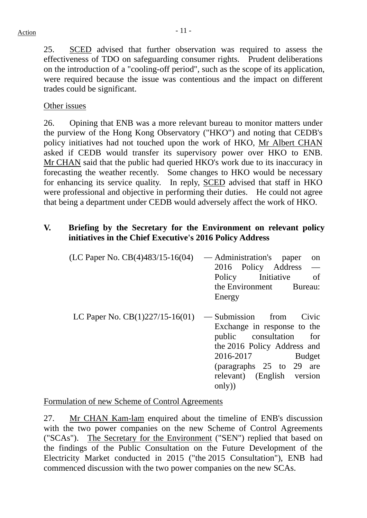25. SCED advised that further observation was required to assess the effectiveness of TDO on safeguarding consumer rights. Prudent deliberations on the introduction of a "cooling-off period", such as the scope of its application, were required because the issue was contentious and the impact on different trades could be significant.

# Other issues

26. Opining that ENB was a more relevant bureau to monitor matters under the purview of the Hong Kong Observatory ("HKO") and noting that CEDB's policy initiatives had not touched upon the work of HKO, Mr Albert CHAN asked if CEDB would transfer its supervisory power over HKO to ENB. Mr CHAN said that the public had queried HKO's work due to its inaccuracy in forecasting the weather recently. Some changes to HKO would be necessary for enhancing its service quality. In reply, SCED advised that staff in HKO were professional and objective in performing their duties. He could not agree that being a department under CEDB would adversely affect the work of HKO.

#### **V. Briefing by the Secretary for the Environment on relevant policy initiatives in the Chief Executive's 2016 Policy Address**

| (LC Paper No. $CB(4)483/15-16(04)$ ) | — Administration's<br>paper<br><sub>on</sub><br>2016 Policy Address<br>Policy Initiative<br><sub>of</sub><br>the Environment Bureau:<br>Energy                                                                          |
|--------------------------------------|-------------------------------------------------------------------------------------------------------------------------------------------------------------------------------------------------------------------------|
| LC Paper No. $CB(1)227/15-16(01)$    | — Submission from<br>Civic<br>Exchange in response to the<br>for<br>public consultation<br>the 2016 Policy Address and<br>2016-2017<br><b>Budget</b><br>(paragraphs 25 to 29 are<br>relevant) (English version<br>only) |

Formulation of new Scheme of Control Agreements

27. Mr CHAN Kam-lam enquired about the timeline of ENB's discussion with the two power companies on the new Scheme of Control Agreements ("SCAs"). The Secretary for the Environment ("SEN") replied that based on the findings of the Public Consultation on the Future Development of the Electricity Market conducted in 2015 ("the 2015 Consultation"), ENB had commenced discussion with the two power companies on the new SCAs.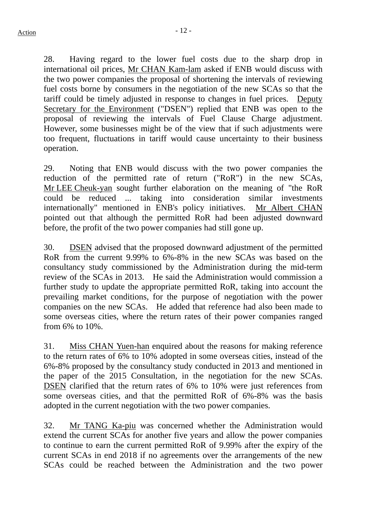28. Having regard to the lower fuel costs due to the sharp drop in international oil prices, Mr CHAN Kam-lam asked if ENB would discuss with the two power companies the proposal of shortening the intervals of reviewing fuel costs borne by consumers in the negotiation of the new SCAs so that the tariff could be timely adjusted in response to changes in fuel prices. Deputy Secretary for the Environment ("DSEN") replied that ENB was open to the proposal of reviewing the intervals of Fuel Clause Charge adjustment. However, some businesses might be of the view that if such adjustments were too frequent, fluctuations in tariff would cause uncertainty to their business operation.

29. Noting that ENB would discuss with the two power companies the reduction of the permitted rate of return ("RoR") in the new SCAs, Mr LEE Cheuk-yan sought further elaboration on the meaning of "the RoR could be reduced ... taking into consideration similar investments internationally" mentioned in ENB's policy initiatives. Mr Albert CHAN pointed out that although the permitted RoR had been adjusted downward before, the profit of the two power companies had still gone up.

30. DSEN advised that the proposed downward adjustment of the permitted RoR from the current 9.99% to 6%-8% in the new SCAs was based on the consultancy study commissioned by the Administration during the mid-term review of the SCAs in 2013. He said the Administration would commission a further study to update the appropriate permitted RoR, taking into account the prevailing market conditions, for the purpose of negotiation with the power companies on the new SCAs. He added that reference had also been made to some overseas cities, where the return rates of their power companies ranged from 6% to 10%.

31. Miss CHAN Yuen-han enquired about the reasons for making reference to the return rates of 6% to 10% adopted in some overseas cities, instead of the 6%-8% proposed by the consultancy study conducted in 2013 and mentioned in the paper of the 2015 Consultation, in the negotiation for the new SCAs. DSEN clarified that the return rates of 6% to 10% were just references from some overseas cities, and that the permitted RoR of 6%-8% was the basis adopted in the current negotiation with the two power companies.

32. Mr TANG Ka-piu was concerned whether the Administration would extend the current SCAs for another five years and allow the power companies to continue to earn the current permitted RoR of 9.99% after the expiry of the current SCAs in end 2018 if no agreements over the arrangements of the new SCAs could be reached between the Administration and the two power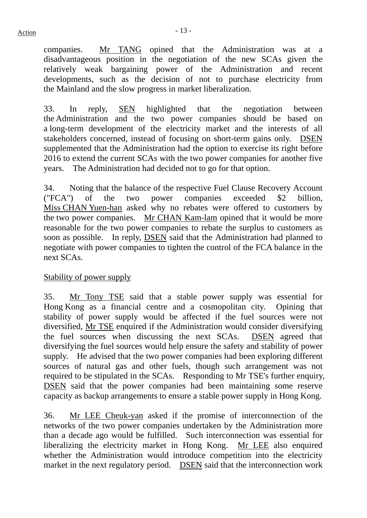companies. Mr TANG opined that the Administration was at a disadvantageous position in the negotiation of the new SCAs given the relatively weak bargaining power of the Administration and recent developments, such as the decision of not to purchase electricity from the Mainland and the slow progress in market liberalization.

33. In reply, SEN highlighted that the negotiation between the Administration and the two power companies should be based on a long-term development of the electricity market and the interests of all stakeholders concerned, instead of focusing on short-term gains only. DSEN supplemented that the Administration had the option to exercise its right before 2016 to extend the current SCAs with the two power companies for another five years. The Administration had decided not to go for that option.

34. Noting that the balance of the respective Fuel Clause Recovery Account ("FCA") of the two power companies exceeded \$2 billion, Miss CHAN Yuen-han asked why no rebates were offered to customers by the two power companies. Mr CHAN Kam-lam opined that it would be more reasonable for the two power companies to rebate the surplus to customers as soon as possible. In reply, DSEN said that the Administration had planned to negotiate with power companies to tighten the control of the FCA balance in the next SCAs.

# Stability of power supply

35. Mr Tony TSE said that a stable power supply was essential for Hong Kong as a financial centre and a cosmopolitan city. Opining that stability of power supply would be affected if the fuel sources were not diversified, Mr TSE enquired if the Administration would consider diversifying the fuel sources when discussing the next SCAs. DSEN agreed that diversifying the fuel sources would help ensure the safety and stability of power supply. He advised that the two power companies had been exploring different sources of natural gas and other fuels, though such arrangement was not required to be stipulated in the SCAs. Responding to Mr TSE's further enquiry, DSEN said that the power companies had been maintaining some reserve capacity as backup arrangements to ensure a stable power supply in Hong Kong.

36. Mr LEE Cheuk-yan asked if the promise of interconnection of the networks of the two power companies undertaken by the Administration more than a decade ago would be fulfilled. Such interconnection was essential for liberalizing the electricity market in Hong Kong. Mr LEE also enquired whether the Administration would introduce competition into the electricity market in the next regulatory period. DSEN said that the interconnection work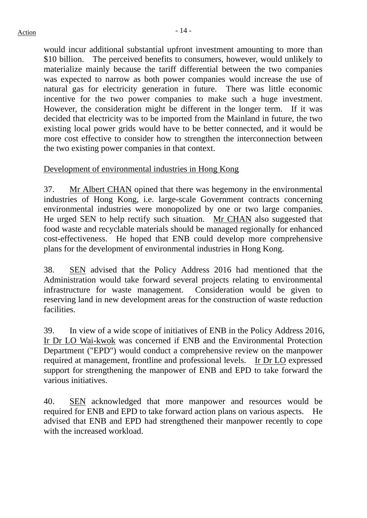would incur additional substantial upfront investment amounting to more than \$10 billion. The perceived benefits to consumers, however, would unlikely to materialize mainly because the tariff differential between the two companies was expected to narrow as both power companies would increase the use of natural gas for electricity generation in future. There was little economic incentive for the two power companies to make such a huge investment. However, the consideration might be different in the longer term. If it was decided that electricity was to be imported from the Mainland in future, the two existing local power grids would have to be better connected, and it would be more cost effective to consider how to strengthen the interconnection between the two existing power companies in that context.

# Development of environmental industries in Hong Kong

37. Mr Albert CHAN opined that there was hegemony in the environmental industries of Hong Kong, i.e. large-scale Government contracts concerning environmental industries were monopolized by one or two large companies. He urged SEN to help rectify such situation. Mr CHAN also suggested that food waste and recyclable materials should be managed regionally for enhanced cost-effectiveness. He hoped that ENB could develop more comprehensive plans for the development of environmental industries in Hong Kong.

38. SEN advised that the Policy Address 2016 had mentioned that the Administration would take forward several projects relating to environmental infrastructure for waste management. Consideration would be given to reserving land in new development areas for the construction of waste reduction facilities.

39. In view of a wide scope of initiatives of ENB in the Policy Address 2016, Ir Dr LO Wai-kwok was concerned if ENB and the Environmental Protection Department ("EPD") would conduct a comprehensive review on the manpower required at management, frontline and professional levels. Ir Dr LO expressed support for strengthening the manpower of ENB and EPD to take forward the various initiatives.

40. SEN acknowledged that more manpower and resources would be required for ENB and EPD to take forward action plans on various aspects. He advised that ENB and EPD had strengthened their manpower recently to cope with the increased workload.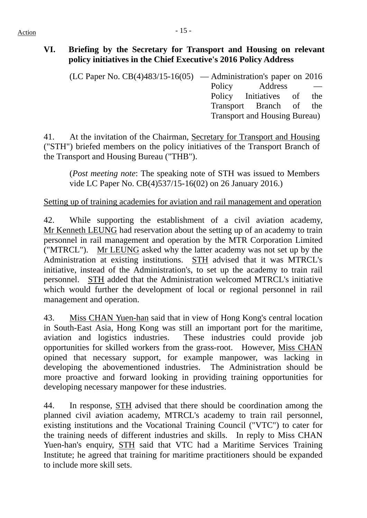# **VI. Briefing by the Secretary for Transport and Housing on relevant policy initiatives in the Chief Executive's 2016 Policy Address**

(LC Paper No.  $CB(4)483/15-16(05)$  — Administration's paper on 2016 Policy Address — Policy Initiatives of the Transport Branch of the Transport and Housing Bureau)

41. At the invitation of the Chairman, Secretary for Transport and Housing ("STH") briefed members on the policy initiatives of the Transport Branch of the Transport and Housing Bureau ("THB").

(*Post meeting note*: The speaking note of STH was issued to Members vide LC Paper No. CB(4)537/15-16(02) on 26 January 2016.)

# Setting up of training academies for aviation and rail management and operation

42. While supporting the establishment of a civil aviation academy, Mr Kenneth LEUNG had reservation about the setting up of an academy to train personnel in rail management and operation by the MTR Corporation Limited ("MTRCL"). Mr LEUNG asked why the latter academy was not set up by the Administration at existing institutions. STH advised that it was MTRCL's initiative, instead of the Administration's, to set up the academy to train rail personnel. STH added that the Administration welcomed MTRCL's initiative which would further the development of local or regional personnel in rail management and operation.

43. Miss CHAN Yuen-han said that in view of Hong Kong's central location in South-East Asia, Hong Kong was still an important port for the maritime, aviation and logistics industries. These industries could provide job opportunities for skilled workers from the grass-root. However, Miss CHAN opined that necessary support, for example manpower, was lacking in developing the abovementioned industries. The Administration should be more proactive and forward looking in providing training opportunities for developing necessary manpower for these industries.

44. In response, STH advised that there should be coordination among the planned civil aviation academy, MTRCL's academy to train rail personnel, existing institutions and the Vocational Training Council ("VTC") to cater for the training needs of different industries and skills. In reply to Miss CHAN Yuen-han's enquiry, STH said that VTC had a Maritime Services Training Institute; he agreed that training for maritime practitioners should be expanded to include more skill sets.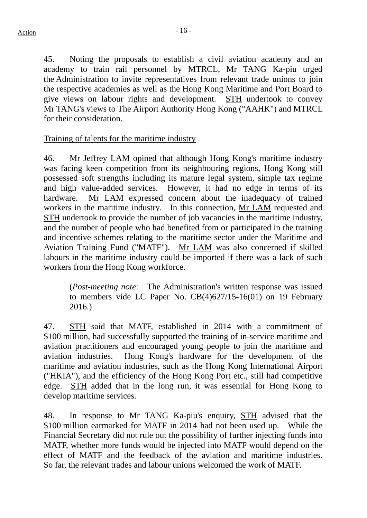45. Noting the proposals to establish a civil aviation academy and an academy to train rail personnel by MTRCL, Mr TANG Ka-piu urged the Administration to invite representatives from relevant trade unions to join the respective academies as well as the Hong Kong Maritime and Port Board to give views on labour rights and development. **STH** undertook to convey Mr TANG's views to The Airport Authority Hong Kong ("AAHK") and MTRCL for their consideration.

Training of talents for the maritime industry

46. Mr Jeffrey LAM opined that although Hong Kong's maritime industry was facing keen competition from its neighbouring regions, Hong Kong still possessed soft strengths including its mature legal system, simple tax regime and high value-added services. However, it had no edge in terms of its hardware. Mr LAM expressed concern about the inadequacy of trained workers in the maritime industry. In this connection, Mr LAM requested and STH undertook to provide the number of job vacancies in the maritime industry, and the number of people who had benefited from or participated in the training and incentive schemes relating to the maritime sector under the Maritime and Aviation Training Fund ("MATF"). Mr LAM was also concerned if skilled labours in the maritime industry could be imported if there was a lack of such workers from the Hong Kong workforce.

(*Post-meeting note*: The Administration's written response was issued to members vide LC Paper No. CB(4)627/15-16(01) on 19 February 2016.)

47. STH said that MATF, established in 2014 with a commitment of \$100 million, had successfully supported the training of in-service maritime and aviation practitioners and encouraged young people to join the maritime and aviation industries. Hong Kong's hardware for the development of the maritime and aviation industries, such as the Hong Kong International Airport ("HKIA"), and the efficiency of the Hong Kong Port etc., still had competitive edge. STH added that in the long run, it was essential for Hong Kong to develop maritime services.

48. In response to Mr TANG Ka-piu's enquiry, STH advised that the \$100 million earmarked for MATF in 2014 had not been used up. While the Financial Secretary did not rule out the possibility of further injecting funds into MATF, whether more funds would be injected into MATF would depend on the effect of MATF and the feedback of the aviation and maritime industries. So far, the relevant trades and labour unions welcomed the work of MATF.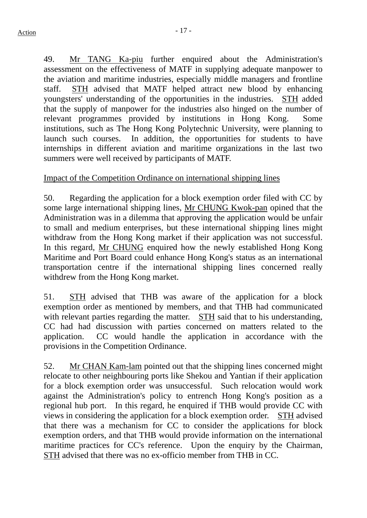49. Mr TANG Ka-piu further enquired about the Administration's assessment on the effectiveness of MATF in supplying adequate manpower to the aviation and maritime industries, especially middle managers and frontline staff. STH advised that MATF helped attract new blood by enhancing youngsters' understanding of the opportunities in the industries. STH added that the supply of manpower for the industries also hinged on the number of relevant programmes provided by institutions in Hong Kong. Some institutions, such as The Hong Kong Polytechnic University, were planning to launch such courses. In addition, the opportunities for students to have internships in different aviation and maritime organizations in the last two summers were well received by participants of MATF.

#### Impact of the Competition Ordinance on international shipping lines

50. Regarding the application for a block exemption order filed with CC by some large international shipping lines, Mr CHUNG Kwok-pan opined that the Administration was in a dilemma that approving the application would be unfair to small and medium enterprises, but these international shipping lines might withdraw from the Hong Kong market if their application was not successful. In this regard, Mr CHUNG enquired how the newly established Hong Kong Maritime and Port Board could enhance Hong Kong's status as an international transportation centre if the international shipping lines concerned really withdrew from the Hong Kong market.

51. STH advised that THB was aware of the application for a block exemption order as mentioned by members, and that THB had communicated with relevant parties regarding the matter. STH said that to his understanding, CC had had discussion with parties concerned on matters related to the application. CC would handle the application in accordance with the provisions in the Competition Ordinance.

52. Mr CHAN Kam-lam pointed out that the shipping lines concerned might relocate to other neighbouring ports like Shekou and Yantian if their application for a block exemption order was unsuccessful. Such relocation would work against the Administration's policy to entrench Hong Kong's position as a regional hub port. In this regard, he enquired if THB would provide CC with views in considering the application for a block exemption order. STH advised that there was a mechanism for CC to consider the applications for block exemption orders, and that THB would provide information on the international maritime practices for CC's reference. Upon the enquiry by the Chairman, STH advised that there was no ex-officio member from THB in CC.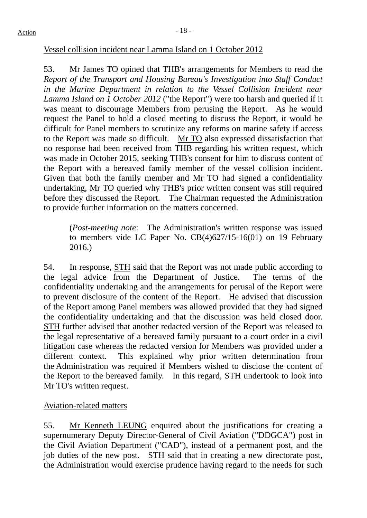#### Vessel collision incident near Lamma Island on 1 October 2012

53. Mr James TO opined that THB's arrangements for Members to read the *Report of the Transport and Housing Bureau's Investigation into Staff Conduct in the Marine Department in relation to the Vessel Collision Incident near Lamma Island on 1 October 2012* ("the Report") were too harsh and queried if it was meant to discourage Members from perusing the Report. As he would request the Panel to hold a closed meeting to discuss the Report, it would be difficult for Panel members to scrutinize any reforms on marine safety if access to the Report was made so difficult. Mr TO also expressed dissatisfaction that no response had been received from THB regarding his written request, which was made in October 2015, seeking THB's consent for him to discuss content of the Report with a bereaved family member of the vessel collision incident. Given that both the family member and Mr TO had signed a confidentiality undertaking, Mr TO queried why THB's prior written consent was still required before they discussed the Report. The Chairman requested the Administration to provide further information on the matters concerned.

(*Post-meeting note*: The Administration's written response was issued to members vide LC Paper No. CB(4)627/15-16(01) on 19 February 2016.)

54. In response, STH said that the Report was not made public according to the legal advice from the Department of Justice. The terms of the confidentiality undertaking and the arrangements for perusal of the Report were to prevent disclosure of the content of the Report. He advised that discussion of the Report among Panel members was allowed provided that they had signed the confidentiality undertaking and that the discussion was held closed door. STH further advised that another redacted version of the Report was released to the legal representative of a bereaved family pursuant to a court order in a civil litigation case whereas the redacted version for Members was provided under a different context. This explained why prior written determination from the Administration was required if Members wished to disclose the content of the Report to the bereaved family. In this regard, STH undertook to look into Mr TO's written request.

# Aviation-related matters

55. Mr Kenneth LEUNG enquired about the justifications for creating a supernumerary Deputy Director-General of Civil Aviation ("DDGCA") post in the Civil Aviation Department ("CAD"), instead of a permanent post, and the job duties of the new post. STH said that in creating a new directorate post, the Administration would exercise prudence having regard to the needs for such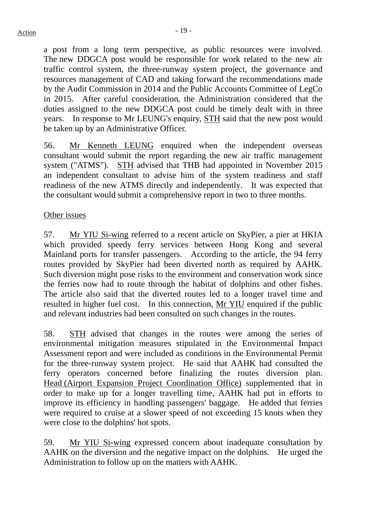a post from a long term perspective, as public resources were involved. The new DDGCA post would be responsible for work related to the new air traffic control system, the three-runway system project, the governance and resources management of CAD and taking forward the recommendations made by the Audit Commission in 2014 and the Public Accounts Committee of LegCo in 2015. After careful consideration, the Administration considered that the duties assigned to the new DDGCA post could be timely dealt with in three years. In response to Mr LEUNG's enquiry, STH said that the new post would be taken up by an Administrative Officer.

56. Mr Kenneth LEUNG enquired when the independent overseas consultant would submit the report regarding the new air traffic management system ("ATMS"). STH advised that THB had appointed in November 2015 an independent consultant to advise him of the system readiness and staff readiness of the new ATMS directly and independently. It was expected that the consultant would submit a comprehensive report in two to three months.

# Other issues

57. Mr YIU Si-wing referred to a recent article on SkyPier, a pier at HKIA which provided speedy ferry services between Hong Kong and several Mainland ports for transfer passengers. According to the article, the 94 ferry routes provided by SkyPier had been diverted north as required by AAHK. Such diversion might pose risks to the environment and conservation work since the ferries now had to route through the habitat of dolphins and other fishes. The article also said that the diverted routes led to a longer travel time and resulted in higher fuel cost. In this connection, Mr YIU enquired if the public and relevant industries had been consulted on such changes in the routes.

58. STH advised that changes in the routes were among the series of environmental mitigation measures stipulated in the Environmental Impact Assessment report and were included as conditions in the Environmental Permit for the three-runway system project. He said that AAHK had consulted the ferry operators concerned before finalizing the routes diversion plan. Head (Airport Expansion Project Coordination Office) supplemented that in order to make up for a longer travelling time, AAHK had put in efforts to improve its efficiency in handling passengers' baggage. He added that ferries were required to cruise at a slower speed of not exceeding 15 knots when they were close to the dolphins' hot spots.

59. Mr YIU Si-wing expressed concern about inadequate consultation by AAHK on the diversion and the negative impact on the dolphins. He urged the Administration to follow up on the matters with AAHK.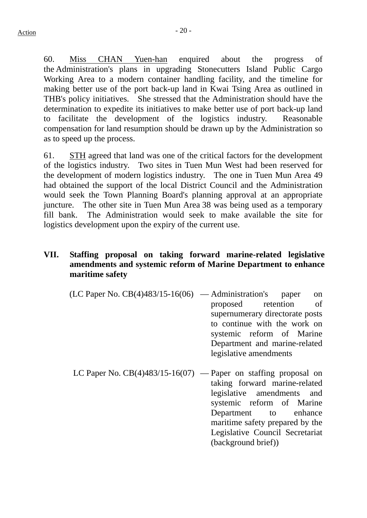60. Miss CHAN Yuen-han enquired about the progress of the Administration's plans in upgrading Stonecutters Island Public Cargo Working Area to a modern container handling facility, and the timeline for making better use of the port back-up land in Kwai Tsing Area as outlined in THB's policy initiatives. She stressed that the Administration should have the determination to expedite its initiatives to make better use of port back-up land to facilitate the development of the logistics industry. Reasonable compensation for land resumption should be drawn up by the Administration so as to speed up the process.

61. STH agreed that land was one of the critical factors for the development of the logistics industry. Two sites in Tuen Mun West had been reserved for the development of modern logistics industry. The one in Tuen Mun Area 49 had obtained the support of the local District Council and the Administration would seek the Town Planning Board's planning approval at an appropriate juncture. The other site in Tuen Mun Area 38 was being used as a temporary fill bank. The Administration would seek to make available the site for logistics development upon the expiry of the current use.

# **VII. Staffing proposal on taking forward marine-related legislative amendments and systemic reform of Marine Department to enhance maritime safety**

- $(LC$  Paper No.  $CB(4)483/15-16(06)$  Administration's paper on proposed retention of supernumerary directorate posts to continue with the work on systemic reform of Marine Department and marine-related legislative amendments
- LC Paper No. CB(4)483/15-16(07) Paper on staffing proposal on taking forward marine-related legislative amendments and systemic reform of Marine Department to enhance maritime safety prepared by the Legislative Council Secretariat (background brief))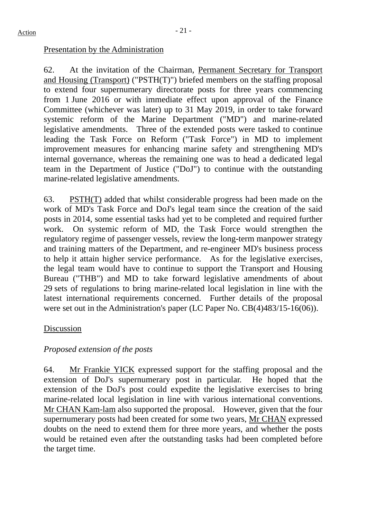# Presentation by the Administration

62. At the invitation of the Chairman, Permanent Secretary for Transport and Housing (Transport) ("PSTH(T)") briefed members on the staffing proposal to extend four supernumerary directorate posts for three years commencing from 1 June 2016 or with immediate effect upon approval of the Finance Committee (whichever was later) up to 31 May 2019, in order to take forward systemic reform of the Marine Department ("MD") and marine-related legislative amendments. Three of the extended posts were tasked to continue leading the Task Force on Reform ("Task Force") in MD to implement improvement measures for enhancing marine safety and strengthening MD's internal governance, whereas the remaining one was to head a dedicated legal team in the Department of Justice ("DoJ") to continue with the outstanding marine-related legislative amendments.

63. PSTH(T) added that whilst considerable progress had been made on the work of MD's Task Force and DoJ's legal team since the creation of the said posts in 2014, some essential tasks had yet to be completed and required further work. On systemic reform of MD, the Task Force would strengthen the regulatory regime of passenger vessels, review the long-term manpower strategy and training matters of the Department, and re-engineer MD's business process to help it attain higher service performance. As for the legislative exercises, the legal team would have to continue to support the Transport and Housing Bureau ("THB") and MD to take forward legislative amendments of about 29 sets of regulations to bring marine-related local legislation in line with the latest international requirements concerned. Further details of the proposal were set out in the Administration's paper (LC Paper No. CB(4)483/15-16(06)).

# Discussion

# *Proposed extension of the posts*

64. Mr Frankie YICK expressed support for the staffing proposal and the extension of DoJ's supernumerary post in particular. He hoped that the extension of the DoJ's post could expedite the legislative exercises to bring marine-related local legislation in line with various international conventions. Mr CHAN Kam-lam also supported the proposal. However, given that the four supernumerary posts had been created for some two years, Mr CHAN expressed doubts on the need to extend them for three more years, and whether the posts would be retained even after the outstanding tasks had been completed before the target time.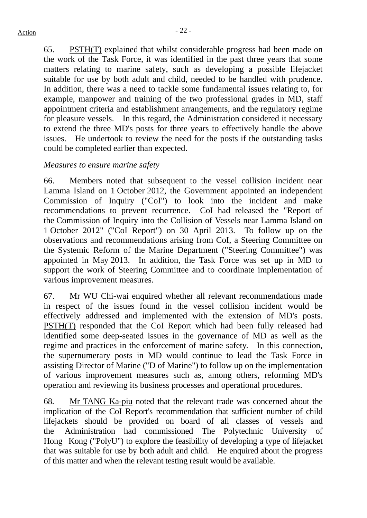65. PSTH(T) explained that whilst considerable progress had been made on the work of the Task Force, it was identified in the past three years that some matters relating to marine safety, such as developing a possible lifejacket suitable for use by both adult and child, needed to be handled with prudence. In addition, there was a need to tackle some fundamental issues relating to, for example, manpower and training of the two professional grades in MD, staff appointment criteria and establishment arrangements, and the regulatory regime for pleasure vessels. In this regard, the Administration considered it necessary to extend the three MD's posts for three years to effectively handle the above issues. He undertook to review the need for the posts if the outstanding tasks could be completed earlier than expected.

# *Measures to ensure marine safety*

66. Members noted that subsequent to the vessel collision incident near Lamma Island on 1 October 2012, the Government appointed an independent Commission of Inquiry ("CoI") to look into the incident and make recommendations to prevent recurrence. CoI had released the "Report of the Commission of Inquiry into the Collision of Vessels near Lamma Island on 1 October 2012" ("CoI Report") on 30 April 2013. To follow up on the observations and recommendations arising from CoI, a Steering Committee on the Systemic Reform of the Marine Department ("Steering Committee") was appointed in May 2013. In addition, the Task Force was set up in MD to support the work of Steering Committee and to coordinate implementation of various improvement measures.

67. Mr WU Chi-wai enquired whether all relevant recommendations made in respect of the issues found in the vessel collision incident would be effectively addressed and implemented with the extension of MD's posts. PSTH(T) responded that the CoI Report which had been fully released had identified some deep-seated issues in the governance of MD as well as the regime and practices in the enforcement of marine safety. In this connection, the supernumerary posts in MD would continue to lead the Task Force in assisting Director of Marine ("D of Marine") to follow up on the implementation of various improvement measures such as, among others, reforming MD's operation and reviewing its business processes and operational procedures.

68. Mr TANG Ka-piu noted that the relevant trade was concerned about the implication of the CoI Report's recommendation that sufficient number of child lifejackets should be provided on board of all classes of vessels and the Administration had commissioned The Polytechnic University of Hong Kong ("PolyU") to explore the feasibility of developing a type of lifejacket that was suitable for use by both adult and child. He enquired about the progress of this matter and when the relevant testing result would be available.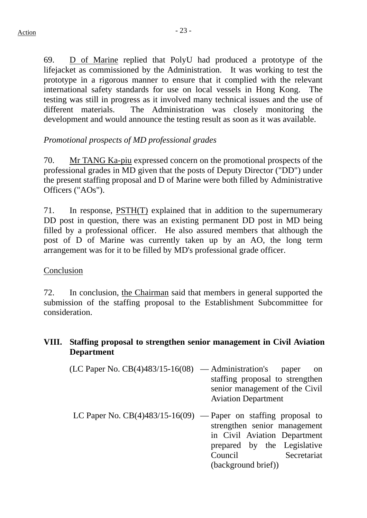69. D of Marine replied that PolyU had produced a prototype of the lifejacket as commissioned by the Administration. It was working to test the prototype in a rigorous manner to ensure that it complied with the relevant international safety standards for use on local vessels in Hong Kong. The testing was still in progress as it involved many technical issues and the use of different materials. The Administration was closely monitoring the development and would announce the testing result as soon as it was available.

# *Promotional prospects of MD professional grades*

70. Mr TANG Ka-piu expressed concern on the promotional prospects of the professional grades in MD given that the posts of Deputy Director ("DD") under the present staffing proposal and D of Marine were both filled by Administrative Officers ("AOs").

71. In response, PSTH(T) explained that in addition to the supernumerary DD post in question, there was an existing permanent DD post in MD being filled by a professional officer. He also assured members that although the post of D of Marine was currently taken up by an AO, the long term arrangement was for it to be filled by MD's professional grade officer.

# Conclusion

72. In conclusion, the Chairman said that members in general supported the submission of the staffing proposal to the Establishment Subcommittee for consideration.

# **VIII. Staffing proposal to strengthen senior management in Civil Aviation Department**

- $(LC$  Paper No.  $CB(4)483/15-16(08)$  Administration's paper on staffing proposal to strengthen senior management of the Civil Aviation Department
- LC Paper No.  $CB(4)483/15-16(09)$  Paper on staffing proposal to strengthen senior management in Civil Aviation Department prepared by the Legislative Council Secretariat (background brief))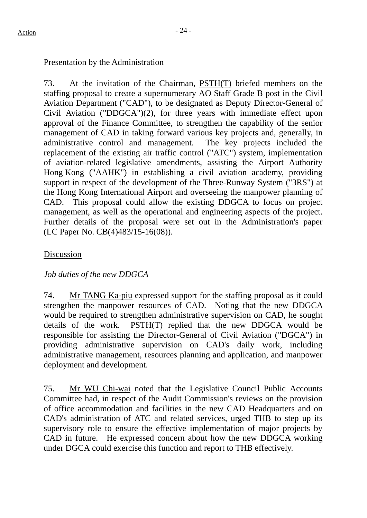# Presentation by the Administration

73. At the invitation of the Chairman, PSTH(T) briefed members on the staffing proposal to create a supernumerary AO Staff Grade B post in the Civil Aviation Department ("CAD"), to be designated as Deputy Director-General of Civil Aviation ("DDGCA")(2), for three years with immediate effect upon approval of the Finance Committee, to strengthen the capability of the senior management of CAD in taking forward various key projects and, generally, in administrative control and management. The key projects included the replacement of the existing air traffic control ("ATC") system, implementation of aviation-related legislative amendments, assisting the Airport Authority Hong Kong ("AAHK") in establishing a civil aviation academy, providing support in respect of the development of the Three-Runway System ("3RS") at the Hong Kong International Airport and overseeing the manpower planning of CAD. This proposal could allow the existing DDGCA to focus on project management, as well as the operational and engineering aspects of the project. Further details of the proposal were set out in the Administration's paper (LC Paper No. CB(4)483/15-16(08)).

# Discussion

# *Job duties of the new DDGCA*

74. Mr TANG Ka-piu expressed support for the staffing proposal as it could strengthen the manpower resources of CAD. Noting that the new DDGCA would be required to strengthen administrative supervision on CAD, he sought details of the work. PSTH(T) replied that the new DDGCA would be responsible for assisting the Director-General of Civil Aviation ("DGCA") in providing administrative supervision on CAD's daily work, including administrative management, resources planning and application, and manpower deployment and development.

75. Mr WU Chi-wai noted that the Legislative Council Public Accounts Committee had, in respect of the Audit Commission's reviews on the provision of office accommodation and facilities in the new CAD Headquarters and on CAD's administration of ATC and related services, urged THB to step up its supervisory role to ensure the effective implementation of major projects by CAD in future. He expressed concern about how the new DDGCA working under DGCA could exercise this function and report to THB effectively.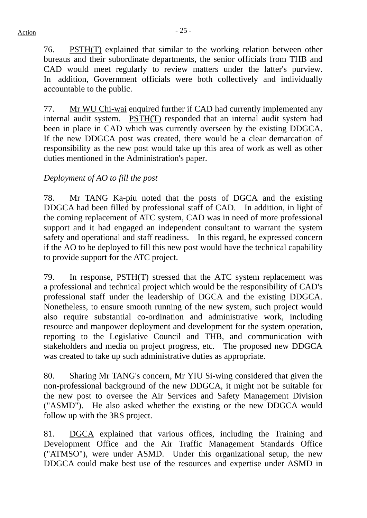76. PSTH(T) explained that similar to the working relation between other bureaus and their subordinate departments, the senior officials from THB and CAD would meet regularly to review matters under the latter's purview. In addition, Government officials were both collectively and individually accountable to the public.

77. Mr WU Chi-wai enquired further if CAD had currently implemented any internal audit system. PSTH(T) responded that an internal audit system had been in place in CAD which was currently overseen by the existing DDGCA. If the new DDGCA post was created, there would be a clear demarcation of responsibility as the new post would take up this area of work as well as other duties mentioned in the Administration's paper.

# *Deployment of AO to fill the post*

78. Mr TANG Ka-piu noted that the posts of DGCA and the existing DDGCA had been filled by professional staff of CAD. In addition, in light of the coming replacement of ATC system, CAD was in need of more professional support and it had engaged an independent consultant to warrant the system safety and operational and staff readiness. In this regard, he expressed concern if the AO to be deployed to fill this new post would have the technical capability to provide support for the ATC project.

79. In response, PSTH(T) stressed that the ATC system replacement was a professional and technical project which would be the responsibility of CAD's professional staff under the leadership of DGCA and the existing DDGCA. Nonetheless, to ensure smooth running of the new system, such project would also require substantial co-ordination and administrative work, including resource and manpower deployment and development for the system operation, reporting to the Legislative Council and THB, and communication with stakeholders and media on project progress, etc. The proposed new DDGCA was created to take up such administrative duties as appropriate.

80. Sharing Mr TANG's concern, Mr YIU Si-wing considered that given the non-professional background of the new DDGCA, it might not be suitable for the new post to oversee the Air Services and Safety Management Division ("ASMD"). He also asked whether the existing or the new DDGCA would follow up with the 3RS project.

81. DGCA explained that various offices, including the Training and Development Office and the Air Traffic Management Standards Office ("ATMSO"), were under ASMD. Under this organizational setup, the new DDGCA could make best use of the resources and expertise under ASMD in